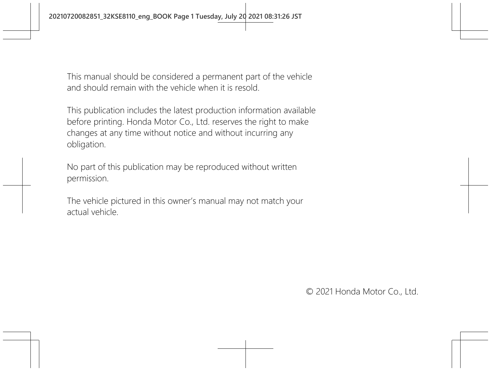This manual should be considered a permanent part of the vehicle and should remain with the vehicle when it is resold.

This publication includes the latest production information available before printing. Honda Motor Co., Ltd. reserves the right to make changes at any time without notice and without incurring any obligation.

No part of this publication may be reproduced without written permission.

The vehicle pictured in this owner's manual may not match your actual vehicle.

© 2021 Honda Motor Co., Ltd.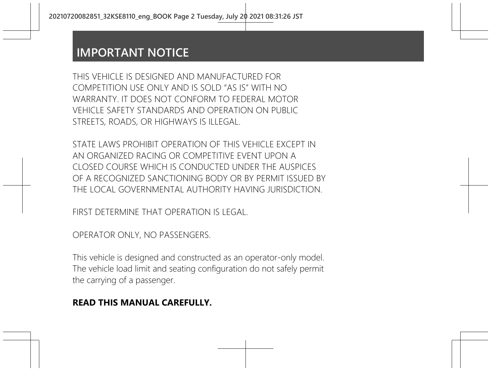## **IMPORTANT NOTICE**

THIS VEHICLE IS DESIGNED AND MANUFACTURED FOR COMPETITION USE ONLY AND IS SOLD "AS IS" WITH NO WARRANTY. IT DOES NOT CONFORM TO FEDERAL MOTOR VEHICLE SAFETY STANDARDS AND OPERATION ON PUBLIC STREETS, ROADS, OR HIGHWAYS IS ILLEGAL.

STATE LAWS PROHIBIT OPERATION OF THIS VEHICLE EXCEPT IN AN ORGANIZED RACING OR COMPETITIVE EVENT UPON A CLOSED COURSE WHICH IS CONDUCTED UNDER THE AUSPICES OF A RECOGNIZED SANCTIONING BODY OR BY PERMIT ISSUED BY THE LOCAL GOVERNMENTAL AUTHORITY HAVING JURISDICTION

FIRST DETERMINE THAT OPERATION IS LEGAL.

OPERATOR ONLY, NO PASSENGERS.

This vehicle is designed and constructed as an operator-only model. The vehicle load limit and seating configuration do not safely permit the carrying of a passenger.

#### **READ THIS MANUAL CAREFULLY.**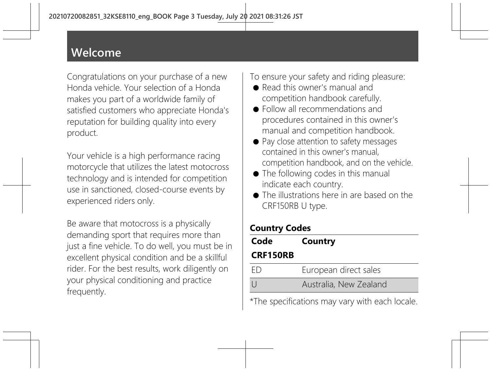## **Welcome**

Congratulations on your purchase of a new Honda vehicle. Your selection of a Honda makes you part of a worldwide family of satisfied customers who appreciate Honda's reputation for building quality into every product.

Your vehicle is a high performance racing motorcycle that utilizes the latest motocross technology and is intended for competition use in sanctioned, closed-course events by experienced riders only.

Be aware that motocross is a physically demanding sport that requires more than just a fine vehicle. To do well, you must be in excellent physical condition and be a skillful rider. For the best results, work diligently on your physical conditioning and practice frequently.

To ensure your safety and riding pleasure:

- Read this owner's manual and competition handbook carefully.
- Follow all recommendations and procedures contained in this owner's manual and competition handbook.
- Pay close attention to safety messages contained in this owner's manual, competition handbook, and on the vehicle.
- The following codes in this manual indicate each country.
- The illustrations here in are based on the CRF150RB U type.

## **Country Codes**

| Code            | Country |
|-----------------|---------|
| <b>CRF150RB</b> |         |

| - FD   | European direct sales  |
|--------|------------------------|
| $\cup$ | Australia, New Zealand |

\*The specifications may vary with each locale.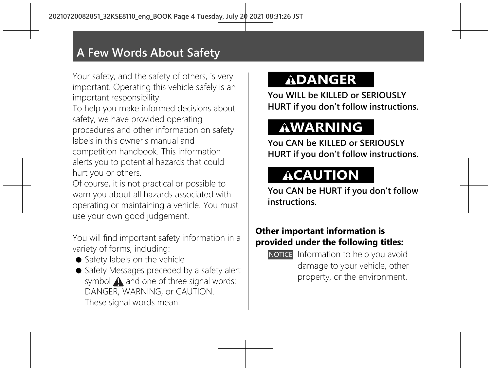## **A Few Words About Safety**

Your safety, and the safety of others, is very important. Operating this vehicle safely is an important responsibility.

To help you make informed decisions about safety, we have provided operating procedures and other information on safety labels in this owner's manual and competition handbook. This information alerts you to potential hazards that could hurt you or others.

Of course, it is not practical or possible to warn you about all hazards associated with operating or maintaining a vehicle. You must use your own good judgement.

You will find important safety information in a variety of forms, including:

- Safety labels on the vehicle
- Safety Messages preceded by a safety alert symbol  $\triangle$  and one of three signal words: DANGER, WARNING, or CAUTION. These signal words mean:

## 3**DANGER**

**You WILL be KILLED or SERIOUSLY HURT if you don't follow instructions.**

## 3**WARNING**

**You CAN be KILLED or SERIOUSLY HURT if you don't follow instructions.**

## 3**CAUTION**

**You CAN be HURT if you don't follow instructions.**

## **Other important information is provided under the following titles:**



NOTICE Information to help you avoid damage to your vehicle, other property, or the environment.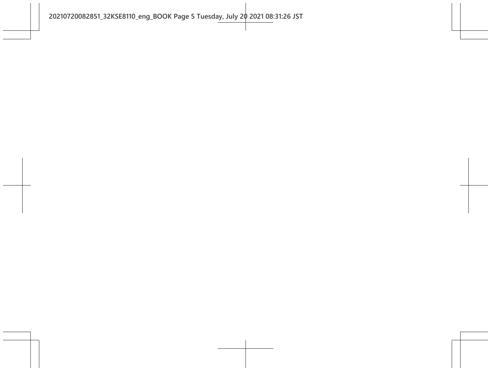**20210720082851\_32KSE8110\_eng\_BOOK Page 5 Tuesday, July 20 2021 08:31:26 JST**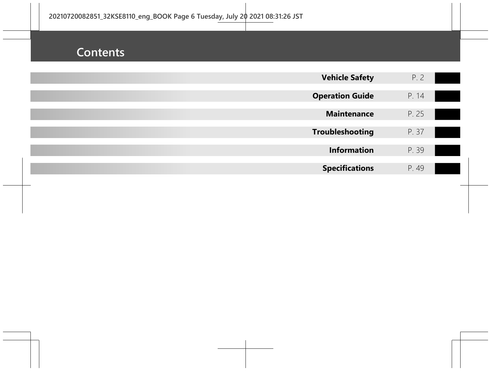## **Contents**

| <b>Vehicle Safety</b>  | P. 2  |  |
|------------------------|-------|--|
| <b>Operation Guide</b> | P. 14 |  |
| <b>Maintenance</b>     | P. 25 |  |
| <b>Troubleshooting</b> | P. 37 |  |
| <b>Information</b>     | P. 39 |  |
| <b>Specifications</b>  | P. 49 |  |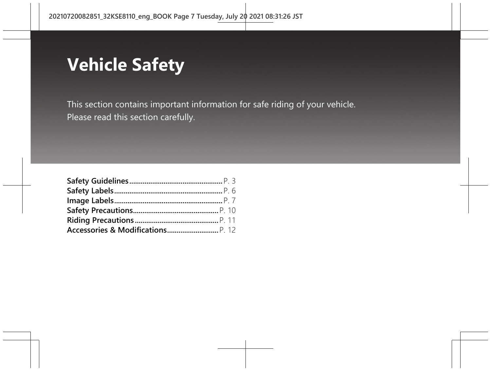## <span id="page-6-0"></span>**Vehicle Safety**

This section contains important information for safe riding of your vehicle. Please read this section carefully.

| Accessories & Modifications P. 12 |  |
|-----------------------------------|--|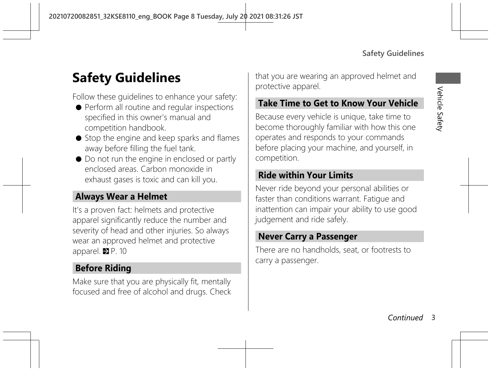### **Safety Guidelines**

## <span id="page-7-0"></span>**Safety Guidelines**

Follow these guidelines to enhance your safety:

- Perform all routine and regular inspections specified in this owner's manual and competition handbook.
- Stop the engine and keep sparks and flames away before filling the fuel tank.
- Do not run the engine in enclosed or partly enclosed areas. Carbon monoxide in exhaust gases is toxic and can kill you.

## **Always Wear a Helmet**

It's a proven fact: helmets and protective apparel significantly reduce the number and severity of head and other injuries. So always wear an approved helmet and protective apparel. [P. 10](#page-14-0)

## **Before Riding**

Make sure that you are physically fit, mentally focused and free of alcohol and drugs. Check that you are wearing an approved helmet and protective apparel.

## **Take Time to Get to Know Your Vehicle**

Because every vehicle is unique, take time to become thoroughly familiar with how this one operates and responds to your commands before placing your machine, and yourself, in competition.

## **Ride within Your Limits**

Never ride beyond your personal abilities or faster than conditions warrant. Fatigue and inattention can impair your ability to use good judgement and ride safely.

### **Never Carry a Passenger**

There are no handholds, seat, or footrests to carry a passenger.

*Continued* 3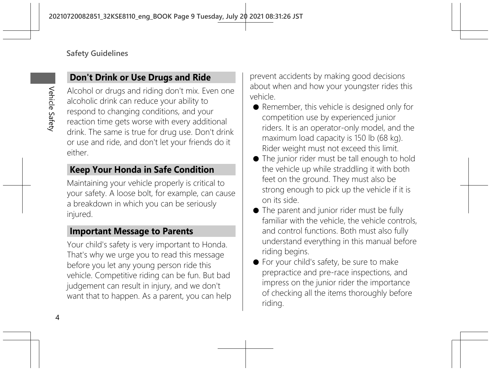**Safety Guidelines**

## **Don't Drink or Use Drugs and Ride**

Alcohol or drugs and riding don't mix. Even one alcoholic drink can reduce your ability to respond to changing conditions, and your reaction time gets worse with every additional drink. The same is true for drug use. Don't drink or use and ride, and don't let your friends do it either.

## **Keep Your Honda in Safe Condition**

Maintaining your vehicle properly is critical to your safety. A loose bolt, for example, can cause a breakdown in which you can be seriously injured.

### **Important Message to Parents**

Your child's safety is very important to Honda. That's why we urge you to read this message before you let any young person ride this vehicle. Competitive riding can be fun. But bad judgement can result in injury, and we don't want that to happen. As a parent, you can help

prevent accidents by making good decisions about when and how your youngster rides this vehicle.

- Remember, this vehicle is designed only for competition use by experienced junior riders. It is an operator-only model, and the maximum load capacity is 150 lb (68 kg). Rider weight must not exceed this limit.
- The junior rider must be tall enough to hold the vehicle up while straddling it with both feet on the ground. They must also be strong enough to pick up the vehicle if it is on its side.
- The parent and junior rider must be fully familiar with the vehicle, the vehicle controls, and control functions. Both must also fully understand everything in this manual before riding begins.
- For your child's safety, be sure to make prepractice and pre-race inspections, and impress on the junior rider the importance of checking all the items thoroughly before riding.

Vehicle Safety Vehicle Safety

 $\lambda$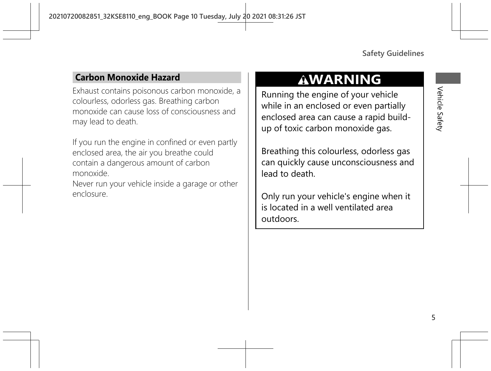**Safety Guidelines**

## **Carbon Monoxide Hazard**

Exhaust contains poisonous carbon monoxide, a colourless, odorless gas. Breathing carbon monoxide can cause loss of consciousness and may lead to death.

If you run the engine in confined or even partly enclosed area, the air you breathe could contain a dangerous amount of carbon monoxide.

Never run your vehicle inside a garage or other enclosure.

## 3**WARNING**

Running the engine of your vehicle while in an enclosed or even partially enclosed area can cause a rapid buildup of toxic carbon monoxide gas.

Breathing this colourless, odorless gas can quickly cause unconsciousness and lead to death.

Only run your vehicle's engine when it is located in a well ventilated area outdoors.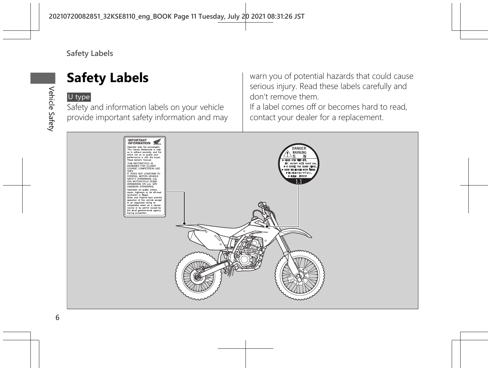<span id="page-10-0"></span>**Safety Labels**

## **Safety Labels**

U type Safety and information labels on your vehicle provide important safety information and may warn you of potential hazards that could cause serious injury. Read these labels carefully and don't remove them.

If a label comes off or becomes hard to read, contact your dealer for a replacement.



6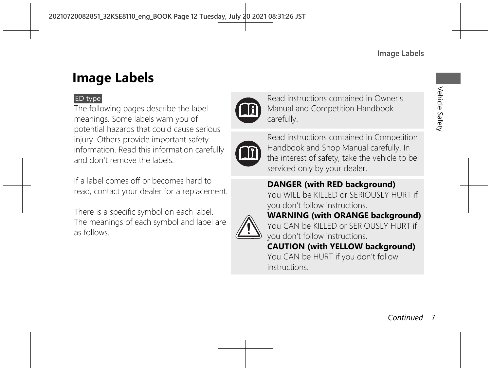#### **Image Labels**

## <span id="page-11-0"></span>**Image Labels**

#### ED type

The following pages describe the label meanings. Some labels warn you of potential hazards that could cause serious injury. Others provide important safety information. Read this information carefully and don't remove the labels.

If a label comes off or becomes hard to read, contact your dealer for a replacement.

There is a specific symbol on each label. The meanings of each symbol and label are as follows.



Read instructions contained in Owner's Manual and Competition Handbook carefully.



Read instructions contained in Competition Handbook and Shop Manual carefully. In the interest of safety, take the vehicle to be serviced only by your dealer.

#### **DANGER (with RED background)**

You WILL be KILLED or SERIOUSLY HURT if you don't follow instructions.



**WARNING (with ORANGE background)**



You CAN be KILLED or SERIOUSLY HURT if you don't follow instructions.

## **CAUTION (with YELLOW background)**

You CAN be HURT if you don't follow instructions.

*Continued* 7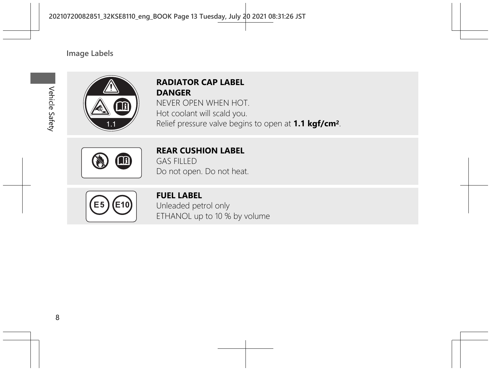## **20210720082851\_32KSE8110\_eng\_BOOK Page 13 Tuesday, July 20 2021 08:31:26 JST**

**Image Labels**



## **RADIATOR CAP LABEL DANGER**

NEVER OPEN WHEN HOT. Hot coolant will scald you. Relief pressure valve begins to open at **1.1 kgf/cm2**.



## **REAR CUSHION LABEL** GAS FILLED

Do not open. Do not heat.



## **FUEL LABEL**

Unleaded petrol only ETHANOL up to 10 % by volume

8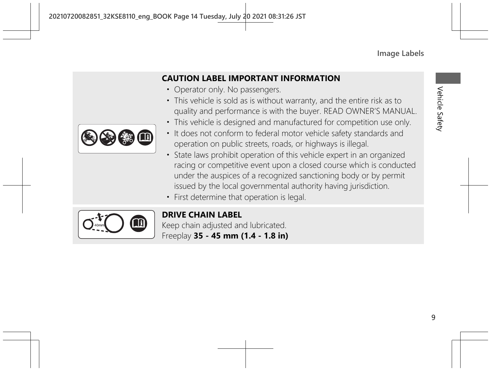**Image Labels**

#### **CAUTION LABEL IMPORTANT INFORMATION**

- Operator only. No passengers.
- This vehicle is sold as is without warranty, and the entire risk as to quality and performance is with the buyer. READ OWNER'S MANUAL.





- It does not conform to federal motor vehicle safety standards and operation on public streets, roads, or highways is illegal.
- State laws prohibit operation of this vehicle expert in an organized racing or competitive event upon a closed course which is conducted under the auspices of a recognized sanctioning body or by permit issued by the local governmental authority having jurisdiction.
- First determine that operation is legal.



#### **DRIVE CHAIN LABEL**

Keep chain adjusted and lubricated. Freeplay **35 - 45 mm (1.4 - 1.8 in)**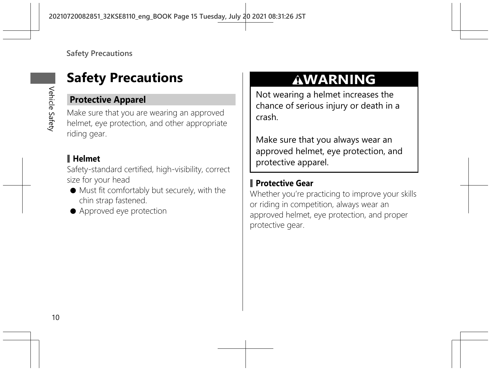<span id="page-14-0"></span>**Safety Precautions**

## **Safety Precautions**

## **Protective Apparel**

Make sure that you are wearing an approved helmet, eye protection, and other appropriate riding gear.

## **I** Helmet

Safety-standard certified, high-visibility, correct size for your head

- Must fit comfortably but securely, with the chin strap fastened.
- Approved eye protection

## 3**WARNING**

Not wearing a helmet increases the chance of serious injury or death in a crash.

Make sure that you always wear an approved helmet, eye protection, and protective apparel.

## **I** Protective Gear

Whether you're practicing to improve your skills or riding in competition, always wear an approved helmet, eye protection, and proper protective gear.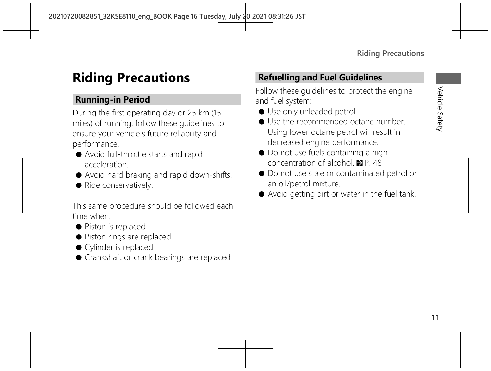**Riding Precautions**

## <span id="page-15-0"></span>**Riding Precautions**

## **Running-in Period**

During the first operating day or 25 km (15 miles) of running, follow these guidelines to ensure your vehicle's future reliability and performance.

- Avoid full-throttle starts and rapid acceleration.
- Avoid hard braking and rapid down-shifts.
- Ride conservatively.

This same procedure should be followed each time when:

- Piston is replaced
- Piston rings are replaced
- Cylinder is replaced
- Crankshaft or crank bearings are replaced

## **Refuelling and Fuel Guidelines**

Follow these guidelines to protect the engine and fuel system:

- Use only unleaded petrol.
- Use the recommended octane number Using lower octane petrol will result in decreased engine performance.
- Do not use fuels containing a high concentration of alcohol. **2** [P. 48](#page-52-0)
- Do not use stale or contaminated petrol or an oil/petrol mixture.
- Avoid getting dirt or water in the fuel tank.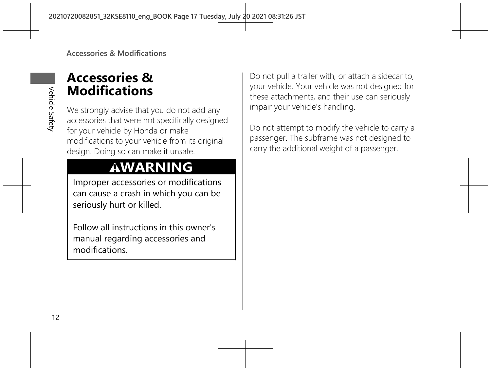<span id="page-16-0"></span>**Accessories & Modifications**

## **Accessories & Modifications**

We strongly advise that you do not add any accessories that were not specifically designed for your vehicle by Honda or make modifications to your vehicle from its original design. Doing so can make it unsafe.

## 3**WARNING**

Improper accessories or modifications can cause a crash in which you can be seriously hurt or killed.

Follow all instructions in this owner's manual regarding accessories and modifications.

Do not pull a trailer with, or attach a sidecar to, your vehicle. Your vehicle was not designed for these attachments, and their use can seriously impair your vehicle's handling.

Do not attempt to modify the vehicle to carry a passenger. The subframe was not designed to carry the additional weight of a passenger.

12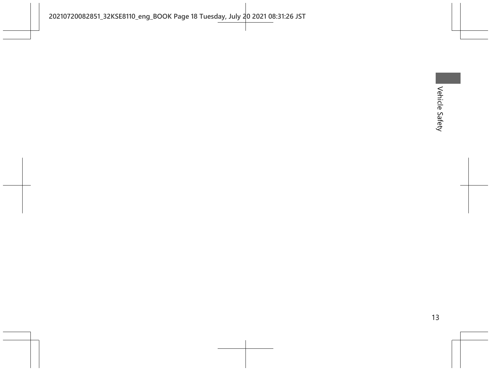**20210720082851\_32KSE8110\_eng\_BOOK Page 18 Tuesday, July 20 2021 08:31:26 JST**

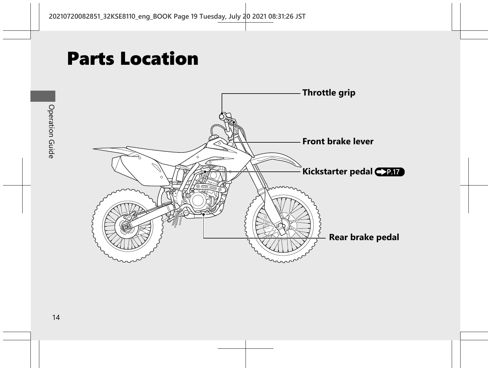## <span id="page-18-0"></span>Parts Location

Operation Guide Operation Guide



14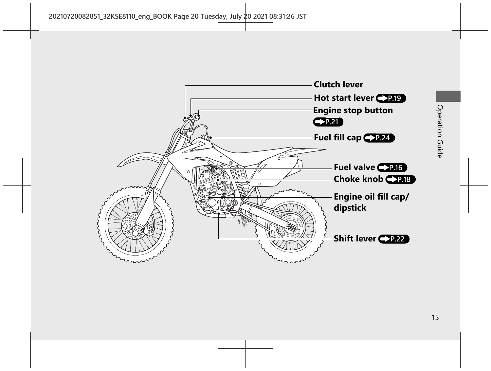

15

Operation Guide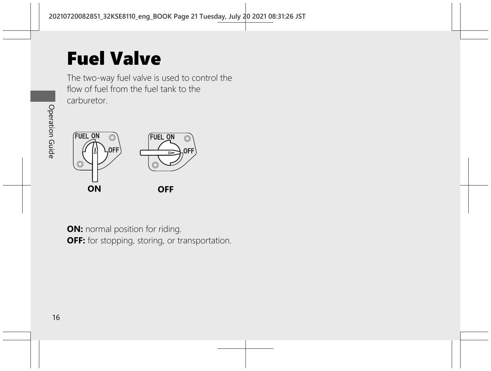## <span id="page-20-0"></span>Fuel Valve

The two-way fuel valve is used to control the flow of fuel from the fuel tank to the carburetor.



**ON:** normal position for riding. **OFF:** for stopping, storing, or transportation.

Operation Guide Operation Guide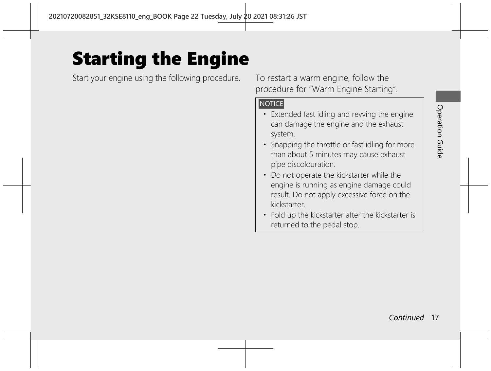## <span id="page-21-0"></span>Starting the Engine

Start your engine using the following procedure. To restart a warm engine, follow the

procedure for "Warm Engine Starting".

### **NOTICE**

- Extended fast idling and revving the engine can damage the engine and the exhaust system.
- Snapping the throttle or fast idling for more than about 5 minutes may cause exhaust pipe discolouration.
- Do not operate the kickstarter while the engine is running as engine damage could result. Do not apply excessive force on the kickstarter.
- Fold up the kickstarter after the kickstarter is returned to the pedal stop.

Operation Guide Operation Guide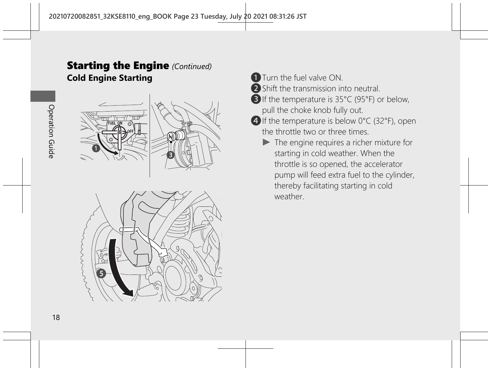## <span id="page-22-0"></span>**Cold Engine Starting Cold Engine Starting** Starting the Engine *(Continued)*





**2** Shift the transmission into neutral.

**B** If the temperature is 35°C (95°F) or below, pull the choke knob fully out.

**4** If the temperature is below 0°C (32°F), open the throttle two or three times.

 $\blacktriangleright$  The engine requires a richer mixture for starting in cold weather. When the throttle is so opened, the accelerator pump will feed extra fuel to the cylinder, thereby facilitating starting in cold weather.

18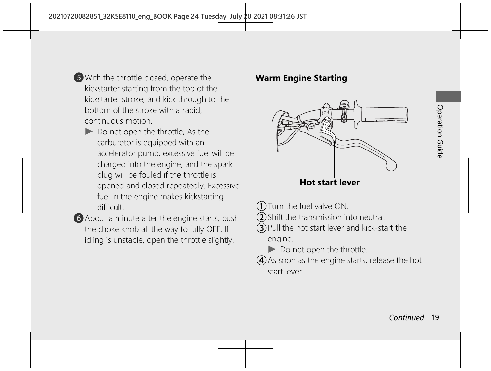<span id="page-23-0"></span>**e**With the throttle closed, operate the kickstarter starting from the top of the kickstarter stroke, and kick through to the bottom of the stroke with a rapid, continuous motion.

 $\triangleright$  Do not open the throttle, As the carburetor is equipped with an accelerator pump, excessive fuel will be charged into the engine, and the spark plug will be fouled if the throttle is opened and closed repeatedly. Excessive fuel in the engine makes kickstarting difficult.

**6** About a minute after the engine starts, push the choke knob all the way to fully OFF. If idling is unstable, open the throttle slightly.

#### **Warm Engine Starting**



- $\Omega$ Turn the fuel valve ON.
- $\Omega$ Shift the transmission into neutral.
- $\Omega$ Pull the hot start lever and kick-start the engine.
	- $\triangleright$  Do not open the throttle.
- $\overline{4}$ ) As soon as the engine starts, release the hot start lever.

*Continued* 19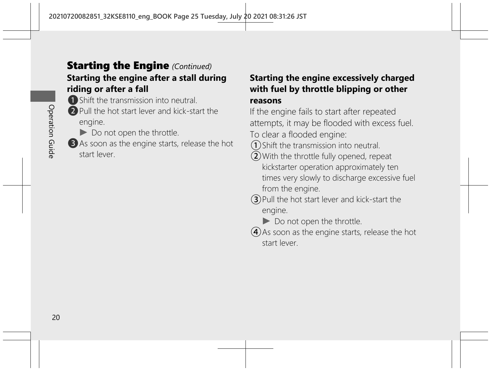## **Starting the engine after a stall during riding or after a fall** Starting the Engine *(Continued)*

**A** Shift the transmission into neutral.

**D** Pull the hot start lever and kick-start the engine.

 $\triangleright$  Do not open the throttle.

**B** As soon as the engine starts, release the hot start lever.

## **Starting the engine excessively charged with fuel by throttle blipping or other reasons**

If the engine fails to start after repeated attempts, it may be flooded with excess fuel. To clear a flooded engine:

 $\Omega$ Shift the transmission into neutral.

- $\Omega$  With the throttle fully opened, repeat kickstarter operation approximately ten times very slowly to discharge excessive fuel from the engine.
- **3**) Pull the hot start lever and kick-start the engine.

 $\triangleright$  Do not open the throttle.

 $\overline{4}$ ) As soon as the engine starts, release the hot start lever.

Operation Guide Operation Guide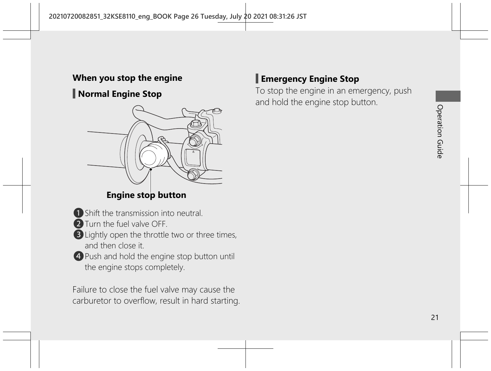### <span id="page-25-0"></span>**When you stop the engine**

## **Normal Engine Stop**



- **O** Shift the transmission into neutral.
- **2** Turn the fuel valve OFF.
- **B** Lightly open the throttle two or three times, and then close it.
- 4 Push and hold the engine stop button until the engine stops completely.

Failure to close the fuel valve may cause the carburetor to overflow, result in hard starting.

## **Emergency Engine Stop**

To stop the engine in an emergency, push and hold the engine stop button.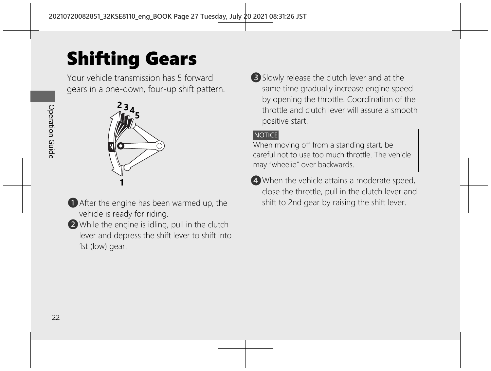# <span id="page-26-0"></span>Shifting Gears

Your vehicle transmission has 5 forward gears in a one-down, four-up shift pattern.



- **1** After the engine has been warmed up, the vehicle is ready for riding.
- **b** While the engine is idling, pull in the clutch lever and depress the shift lever to shift into 1st (low) gear.

**B** Slowly release the clutch lever and at the same time gradually increase engine speed by opening the throttle. Coordination of the throttle and clutch lever will assure a smooth positive start.

#### **NOTICE**

When moving off from a standing start, be careful not to use too much throttle. The vehicle may "wheelie" over backwards.

dWhen the vehicle attains a moderate speed, close the throttle, pull in the clutch lever and shift to 2nd gear by raising the shift lever.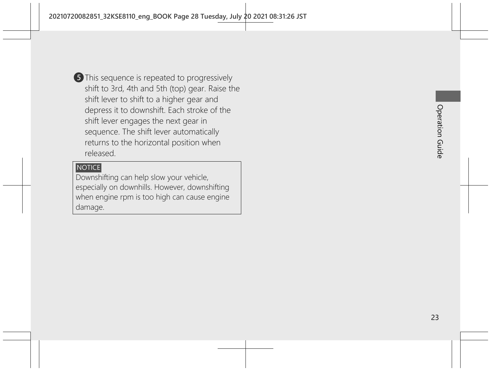**eta** This sequence is repeated to progressively shift to 3rd, 4th and 5th (top) gear. Raise the shift lever to shift to a higher gear and depress it to downshift. Each stroke of the shift lever engages the next gear in sequence. The shift lever automatically returns to the horizontal position when released.

## **NOTICE**

Downshifting can help slow your vehicle, especially on downhills. However, downshifting when engine rpm is too high can cause engine damage.

Operation Guide Operation Guide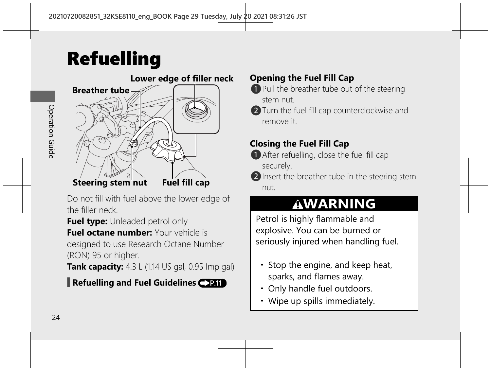# <span id="page-28-0"></span>Refuelling



Do not fill with fuel above the lower edge of the filler neck.

**Fuel type:** Unleaded petrol only

**Fuel octane number:** Your vehicle is designed to use Research Octane Number (RON) 95 or higher.

**Tank capacity:** 4.3 L (1.14 US gal, 0.95 Imp gal)

## **Refuelling and Fuel Guidelines <b>(PRII)**

## **Opening the Fuel Fill Cap**

**1** Pull the breather tube out of the steering stem nut.

**2** Turn the fuel fill cap counterclockwise and remove it.

## **Closing the Fuel Fill Cap**

- **After refuelling, close the fuel fill cap** securely.
- **2** Insert the breather tube in the steering stem nut.

## 3**WARNING**

Petrol is highly flammable and explosive. You can be burned or seriously injured when handling fuel.

- Stop the engine, and keep heat, sparks, and flames away.
- Only handle fuel outdoors.
- Wipe up spills immediately.

Operation Guide Operation Guide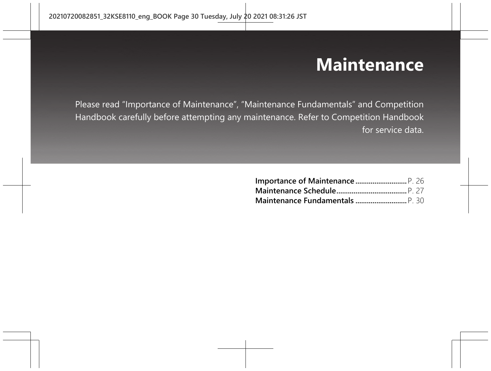## **Maintenance**

<span id="page-29-0"></span>Please read "Importance of Maintenance", "Maintenance Fundamentals" and Competition Handbook carefully before attempting any maintenance. Refer to Competition Handbook for service data.

| <b>Importance of Maintenance</b> P. 26 |  |
|----------------------------------------|--|
|                                        |  |
| <b>Maintenance Fundamentals </b> P. 30 |  |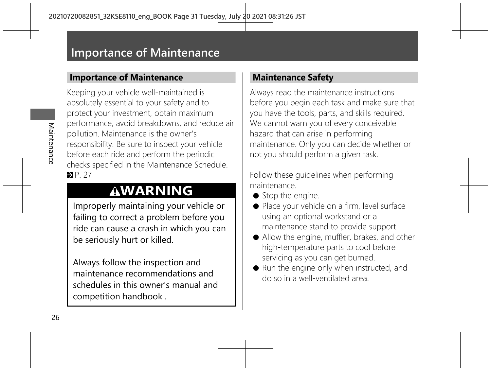## <span id="page-30-0"></span>**Importance of Maintenance**

## **Importance of Maintenance**

Keeping your vehicle well-maintained is absolutely essential to your safety and to protect your investment, obtain maximum performance, avoid breakdowns, and reduce air pollution. Maintenance is the owner's responsibility. Be sure to inspect your vehicle before each ride and perform the periodic checks specified in the Maintenance Schedule.  $P$  27

## 3**WARNING**

Improperly maintaining your vehicle or failing to correct a problem before you ride can cause a crash in which you can be seriously hurt or killed.

Always follow the inspection and maintenance recommendations and schedules in this owner's manual and competition handbook .

## **Maintenance Safety**

Always read the maintenance instructions before you begin each task and make sure that you have the tools, parts, and skills required. We cannot warn you of every conceivable hazard that can arise in performing maintenance. Only you can decide whether or not you should perform a given task.

Follow these guidelines when performing maintenance.

- Stop the engine.
- Place your vehicle on a firm, level surface using an optional workstand or a maintenance stand to provide support.
- Allow the engine, muffler, brakes, and other high-temperature parts to cool before servicing as you can get burned.
- Run the engine only when instructed, and do so in a well-ventilated area.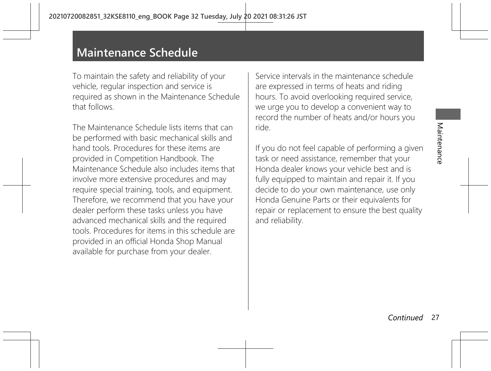## <span id="page-31-0"></span>**Maintenance Schedule**

To maintain the safety and reliability of your vehicle, regular inspection and service is required as shown in the Maintenance Schedule that follows.

The Maintenance Schedule lists items that can be performed with basic mechanical skills and hand tools. Procedures for these items are provided in Competition Handbook. The Maintenance Schedule also includes items that involve more extensive procedures and may require special training, tools, and equipment. Therefore, we recommend that you have your dealer perform these tasks unless you have advanced mechanical skills and the required tools. Procedures for items in this schedule are provided in an official Honda Shop Manual available for purchase from your dealer.

Service intervals in the maintenance schedule are expressed in terms of heats and riding hours. To avoid overlooking required service, we urge you to develop a convenient way to record the number of heats and/or hours you ride.

If you do not feel capable of performing a given task or need assistance, remember that your Honda dealer knows your vehicle best and is fully equipped to maintain and repair it. If you decide to do your own maintenance, use only Honda Genuine Parts or their equivalents for repair or replacement to ensure the best quality and reliability.

*Continued* 27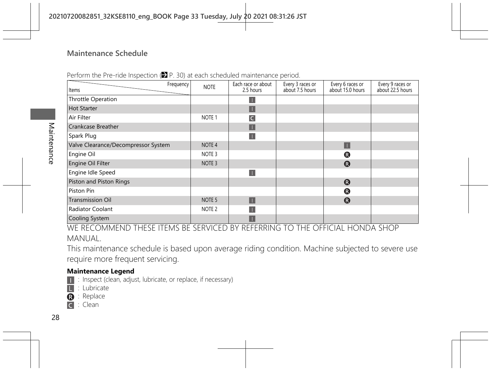#### **Maintenance Schedule**

Perform the Pre-ride Inspection ( $\blacktriangleright$  [P. 30](#page-34-0)) at each scheduled maintenance period.

| Frequency<br>Items                  | <b>NOTE</b>       | Each race or about<br>2.5 hours | Every 3 races or<br>about 7.5 hours | Every 6 races or<br>about 15.0 hours | Every 9 races or<br>about 22.5 hours |
|-------------------------------------|-------------------|---------------------------------|-------------------------------------|--------------------------------------|--------------------------------------|
| Throttle Operation                  |                   | H.                              |                                     |                                      |                                      |
| <b>Hot Starter</b>                  |                   | $\blacksquare$                  |                                     |                                      |                                      |
| Air Filter                          | NOTE <sub>1</sub> | $\overline{C}$                  |                                     |                                      |                                      |
| Crankcase Breather                  |                   | П                               |                                     |                                      |                                      |
| Spark Plug                          |                   | H.                              |                                     |                                      |                                      |
| Valve Clearance/Decompressor System | NOTE <sub>4</sub> |                                 |                                     | П                                    |                                      |
| Engine Oil                          | NOTE 3            |                                 |                                     | ®                                    |                                      |
| Engine Oil Filter                   | NOTE <sub>3</sub> |                                 |                                     | $\Omega$                             |                                      |
| Engine Idle Speed                   |                   | n.                              |                                     |                                      |                                      |
| Piston and Piston Rings             |                   |                                 |                                     | $\boldsymbol{\Omega}$                |                                      |
| Piston Pin                          |                   |                                 |                                     | 0                                    |                                      |
| <b>Transmission Oil</b>             | NOTE <sub>5</sub> | П                               |                                     | $\bf{Q}$                             |                                      |
| Radiator Coolant                    | NOTE <sub>2</sub> | П                               |                                     |                                      |                                      |
| Cooling System                      |                   | Ш                               |                                     |                                      |                                      |

WE RECOMMEND THESE ITEMS BE SERVICED BY REFERRING TO THE OFFICIAL HONDA SHOP MANUAL.

This maintenance schedule is based upon average riding condition. Machine subjected to severe use require more frequent servicing.

#### **Maintenance Legend**

: Inspect (clean, adjust, lubricate, or replace, if necessary)

: Lubricate

: Replace

: Clean

28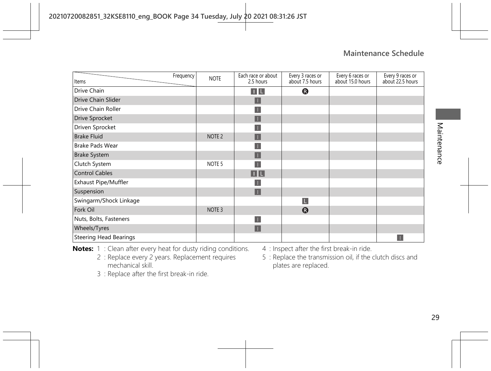#### **Maintenance Schedule**

| <b>Items</b>                  | Frequency | <b>NOTE</b>       | Each race or about<br>2.5 hours | Every 3 races or<br>about 7.5 hours | Every 6 races or<br>about 15.0 hours | Every 9 races or<br>about 22.5 hours |
|-------------------------------|-----------|-------------------|---------------------------------|-------------------------------------|--------------------------------------|--------------------------------------|
| Drive Chain                   |           |                   | $\Box$ L                        | ®                                   |                                      |                                      |
| Drive Chain Slider            |           |                   | $\blacksquare$                  |                                     |                                      |                                      |
| Drive Chain Roller            |           |                   | D                               |                                     |                                      |                                      |
| <b>Drive Sprocket</b>         |           |                   | $\blacksquare$                  |                                     |                                      |                                      |
| Driven Sprocket               |           |                   | n                               |                                     |                                      |                                      |
| <b>Brake Fluid</b>            |           | NOTE <sub>2</sub> | П                               |                                     |                                      |                                      |
| <b>Brake Pads Wear</b>        |           |                   | п                               |                                     |                                      |                                      |
| <b>Brake System</b>           |           |                   | $\blacksquare$                  |                                     |                                      |                                      |
| Clutch System                 |           | NOTE <sub>5</sub> | n.                              |                                     |                                      |                                      |
| <b>Control Cables</b>         |           |                   | <b>THE</b>                      |                                     |                                      |                                      |
| Exhaust Pipe/Muffler          |           |                   | n                               |                                     |                                      |                                      |
| Suspension                    |           |                   | $\blacksquare$                  |                                     |                                      |                                      |
| Swingarm/Shock Linkage        |           |                   |                                 | Ш                                   |                                      |                                      |
| Fork Oil                      |           | NOTE <sub>3</sub> |                                 | $\boldsymbol{\Omega}$               |                                      |                                      |
| Nuts, Bolts, Fasteners        |           |                   | π                               |                                     |                                      |                                      |
| Wheels/Tyres                  |           |                   | $\Box$                          |                                     |                                      |                                      |
| <b>Steering Head Bearings</b> |           |                   |                                 |                                     |                                      | n                                    |

**Notes:** 1 : Clean after every heat for dusty riding conditions. 4 : Inspect after the first break-in ride.

2 : Replace every 2 years. Replacement requires mechanical skill.

5 : Replace the transmission oil, if the clutch discs and plates are replaced.

3 : Replace after the first break-in ride.

29

Maintenance

Maintenance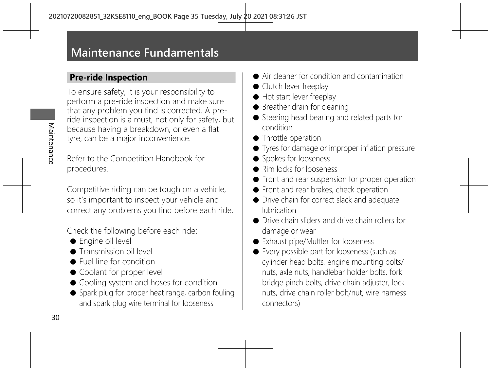## <span id="page-34-0"></span>**Pre-ride Inspection**

To ensure safety, it is your responsibility to perform a pre-ride inspection and make sure that any problem you find is corrected. A preride inspection is a must, not only for safety, but because having a breakdown, or even a flat tyre, can be a major inconvenience.

Refer to the Competition Handbook for procedures.

Competitive riding can be tough on a vehicle, so it's important to inspect your vehicle and correct any problems you find before each ride.

Check the following before each ride:

- Engine oil level
- Transmission oil level
- Fuel line for condition
- Coolant for proper level
- Cooling system and hoses for condition
- Spark plug for proper heat range, carbon fouling and spark plug wire terminal for looseness
- Air cleaner for condition and contamination
- Clutch lever freeplay
- Hot start lever freeplay
- Breather drain for cleaning
- Steering head bearing and related parts for condition
- Throttle operation
- Tyres for damage or improper inflation pressure
- Spokes for looseness
- Rim locks for looseness
- Front and rear suspension for proper operation
- Front and rear brakes, check operation
- Drive chain for correct slack and adequate lubrication
- Drive chain sliders and drive chain rollers for damage or wear
- Exhaust pipe/Muffler for looseness
- Every possible part for looseness (such as cylinder head bolts, engine mounting bolts/ nuts, axle nuts, handlebar holder bolts, fork bridge pinch bolts, drive chain adjuster, lock nuts, drive chain roller bolt/nut, wire harness connectors)

Maintenance Maintenance

30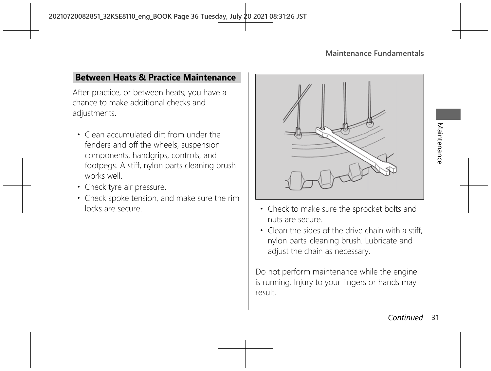## **Between Heats & Practice Maintenance**

After practice, or between heats, you have a chance to make additional checks and adjustments.

- Clean accumulated dirt from under the fenders and off the wheels, suspension components, handgrips, controls, and footpegs. A stiff, nylon parts cleaning brush works well.
- Check tyre air pressure.
- Check spoke tension, and make sure the rim locks are secure. • Check to make sure the sprocket bolts and

nuts are secure.

• Clean the sides of the drive chain with a stiff, nylon parts-cleaning brush. Lubricate and adjust the chain as necessary.

Do not perform maintenance while the engine is running. Injury to your fingers or hands may result.

Maintenance Maintenance

*Continued* 31



**Maintenance Fundamentals**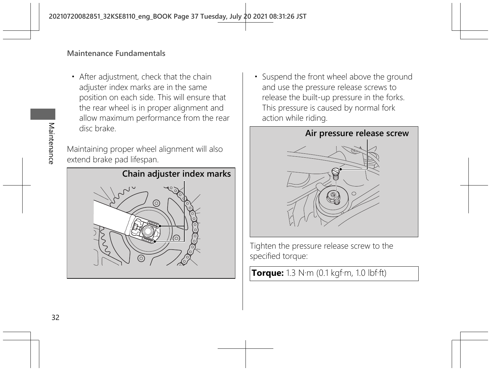**20210720082851\_32KSE8110\_eng\_BOOK Page 37 Tuesday, July 20 2021 08:31:26 JST**

#### **Maintenance Fundamentals**

• After adjustment, check that the chain adjuster index marks are in the same position on each side. This will ensure that the rear wheel is in proper alignment and allow maximum performance from the rear disc brake.

Maintaining proper wheel alignment will also extend brake pad lifespan.



• Suspend the front wheel above the ground and use the pressure release screws to release the built-up pressure in the forks. This pressure is caused by normal fork action while riding.



Tighten the pressure release screw to the specified torque:

**Torque:** 1.3 N·m (0.1 kgf·m, 1.0 lbf·ft)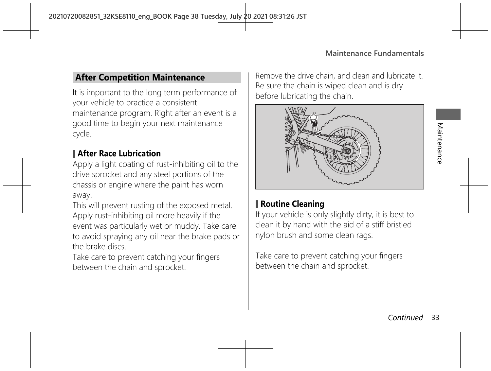### **After Competition Maintenance**

It is important to the long term performance of your vehicle to practice a consistent maintenance program. Right after an event is a good time to begin your next maintenance cycle.

#### **EAfter Race Lubrication**

Apply a light coating of rust-inhibiting oil to the drive sprocket and any steel portions of the chassis or engine where the paint has worn away.

This will prevent rusting of the exposed metal. Apply rust-inhibiting oil more heavily if the event was particularly wet or muddy. Take care to avoid spraying any oil near the brake pads or the brake discs.

Take care to prevent catching your fingers between the chain and sprocket.

Remove the drive chain, and clean and lubricate it. Be sure the chain is wiped clean and is dry before lubricating the chain.



#### **Routine Cleaning**

If your vehicle is only slightly dirty, it is best to clean it by hand with the aid of a stiff bristled nylon brush and some clean rags.

Take care to prevent catching your fingers between the chain and sprocket.

*Continued* 33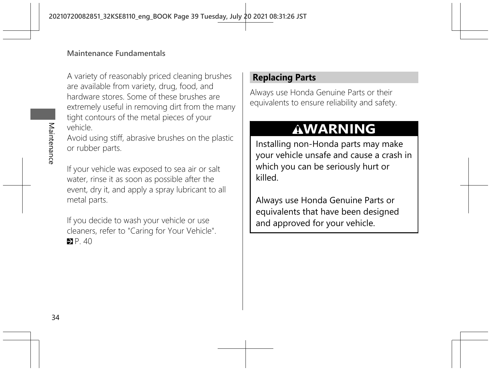A variety of reasonably priced cleaning brushes are available from variety, drug, food, and hardware stores. Some of these brushes are extremely useful in removing dirt from the many tight contours of the metal pieces of your vehicle.

Avoid using stiff, abrasive brushes on the plastic or rubber parts.

If your vehicle was exposed to sea air or salt water, rinse it as soon as possible after the event, dry it, and apply a spray lubricant to all metal parts.

If you decide to wash your vehicle or use cleaners, refer to "Caring for Your Vehicle".  $\blacktriangleright$  P 40

### **Replacing Parts**

Always use Honda Genuine Parts or their equivalents to ensure reliability and safety.

## 3**WARNING**

Installing non-Honda parts may make your vehicle unsafe and cause a crash in which you can be seriously hurt or killed.

Always use Honda Genuine Parts or equivalents that have been designed and approved for your vehicle.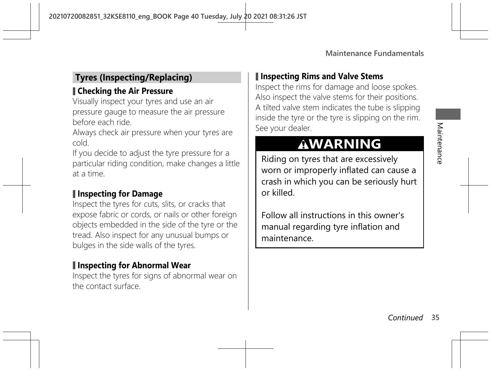## **Tyres (Inspecting/Replacing)**

## **Checking the Air Pressure**

Visually inspect your tyres and use an air pressure gauge to measure the air pressure before each ride.

Always check air pressure when your tyres are cold.

If you decide to adjust the tyre pressure for a particular riding condition, make changes a little at a time.

## **I** Inspecting for Damage

Inspect the tyres for cuts, slits, or cracks that expose fabric or cords, or nails or other foreign objects embedded in the side of the tyre or the tread. Also inspect for any unusual bumps or bulges in the side walls of the tyres.

## **I** Inspecting for Abnormal Wear

Inspect the tyres for signs of abnormal wear on the contact surface.

## **I** Inspecting Rims and Valve Stems

Inspect the rims for damage and loose spokes. Also inspect the valve stems for their positions. A tilted valve stem indicates the tube is slipping inside the tyre or the tyre is slipping on the rim. See your dealer.

## 3**WARNING**

Riding on tyres that are excessively worn or improperly inflated can cause a crash in which you can be seriously hurt or killed.

Follow all instructions in this owner's manual regarding tyre inflation and maintenance.

Maintenance Maintenance

*Continued* 35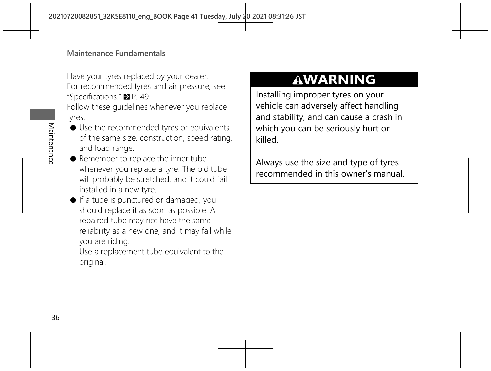Have your tyres replaced by your dealer. For recommended tyres and air pressure, see "Specifications." 2 [P. 49](#page-53-0)

Follow these guidelines whenever you replace tyres.

- Use the recommended tyres or equivalents of the same size, construction, speed rating, and load range.
- Remember to replace the inner tube whenever you replace a tyre. The old tube will probably be stretched, and it could fail if installed in a new tyre.
- If a tube is punctured or damaged, you should replace it as soon as possible. A repaired tube may not have the same reliability as a new one, and it may fail while you are riding.

Use a replacement tube equivalent to the original.

## 3**WARNING**

Installing improper tyres on your vehicle can adversely affect handling and stability, and can cause a crash in which you can be seriously hurt or killed.

Always use the size and type of tyres recommended in this owner's manual.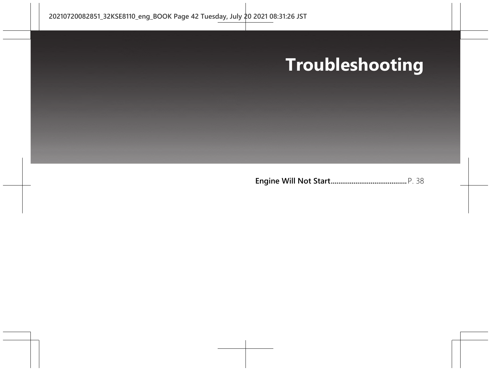## <span id="page-41-0"></span>**Troubleshooting**

**Engine Will Not Start........................................**[P. 38](#page-42-0)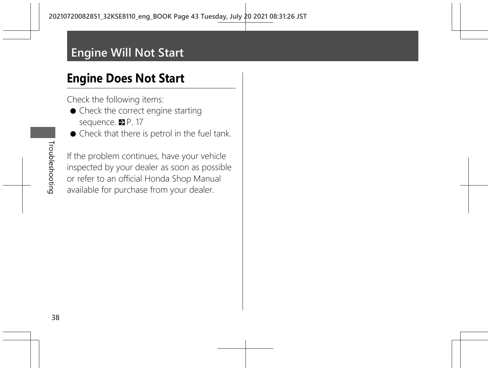## <span id="page-42-0"></span>**Engine Will Not Start**

## **Engine Does Not Start**

Check the following items:

- Check the correct engine starting sequence. **2** [P. 17](#page-21-0)
- Check that there is petrol in the fuel tank.

Troubleshooting Troubleshooting

If the problem continues, have your vehicle inspected by your dealer as soon as possible or refer to an official Honda Shop Manual available for purchase from your dealer.

38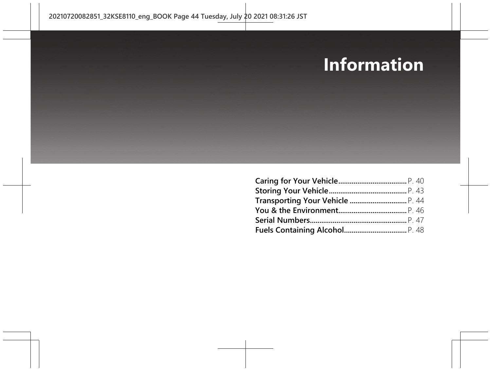## **Information**

<span id="page-43-0"></span>

| Transporting Your Vehicle  P. 44 |  |
|----------------------------------|--|
|                                  |  |
|                                  |  |
|                                  |  |
|                                  |  |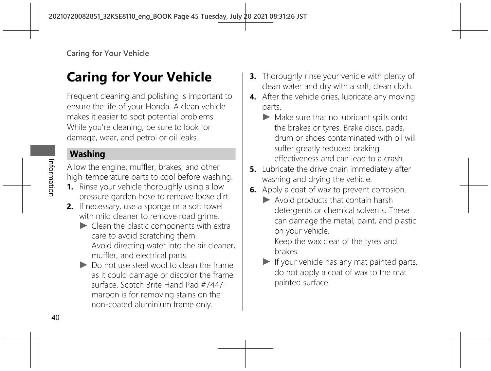<span id="page-44-0"></span>**Caring for Your Vehicle**

## **Caring for Your Vehicle**

Frequent cleaning and polishing is important to ensure the life of your Honda. A clean vehicle makes it easier to spot potential problems. While you're cleaning, be sure to look for damage, wear, and petrol or oil leaks.

## **Washing**

Allow the engine, muffler, brakes, and other high-temperature parts to cool before washing.

- **1.** Rinse your vehicle thoroughly using a low pressure garden hose to remove loose dirt.
- **2.** If necessary, use a sponge or a soft towel with mild cleaner to remove road grime.
	- $\blacktriangleright$  Clean the plastic components with extra care to avoid scratching them. Avoid directing water into the air cleaner, muffler, and electrical parts.
	- $\triangleright$  Do not use steel wool to clean the frame as it could damage or discolor the frame surface. Scotch Brite Hand Pad #7447 maroon is for removing stains on the non-coated aluminium frame only.
- **3.** Thoroughly rinse your vehicle with plenty of clean water and dry with a soft, clean cloth.
- **4.** After the vehicle dries, lubricate any moving parts.
	- $\blacktriangleright$  Make sure that no lubricant spills onto the brakes or tyres. Brake discs, pads, drum or shoes contaminated with oil will suffer greatly reduced braking effectiveness and can lead to a crash.
- **5.** Lubricate the drive chain immediately after washing and drying the vehicle.
- **6.** Apply a coat of wax to prevent corrosion.
	- $\blacktriangleright$  Avoid products that contain harsh detergents or chemical solvents. These can damage the metal, paint, and plastic on your vehicle.

Keep the wax clear of the tyres and brakes.

 $\blacktriangleright$  If your vehicle has any mat painted parts, do not apply a coat of wax to the mat painted surface.

Intormation Information

40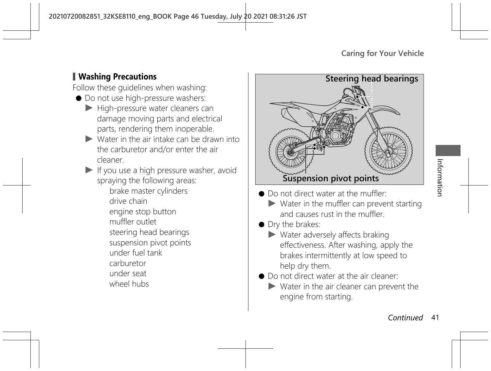**Caring for Your Vehicle**

## **Washing Precautions**

Follow these guidelines when washing:

- Do not use high-pressure washers:
	- $\blacktriangleright$  High-pressure water cleaners can damage moving parts and electrical parts, rendering them inoperable.
	- $\blacktriangleright$  Water in the air intake can be drawn into the carburetor and/or enter the air cleaner.
	- $\blacktriangleright$  If you use a high pressure washer, avoid spraying the following areas:
		- brake master cylinders drive chain engine stop button muffler outlet steering head bearings suspension pivot points under fuel tank carburetor under seat
		- wheel hubs



- Do not direct water at the muffler:
	- $\blacktriangleright$  Water in the muffler can prevent starting and causes rust in the muffler.
- Dry the brakes:
	- $\blacktriangleright$  Water adversely affects braking effectiveness. After washing, apply the brakes intermittently at low speed to help dry them.
- Do not direct water at the air cleaner:
	- $\blacktriangleright$  Water in the air cleaner can prevent the engine from starting.

*Continued* 41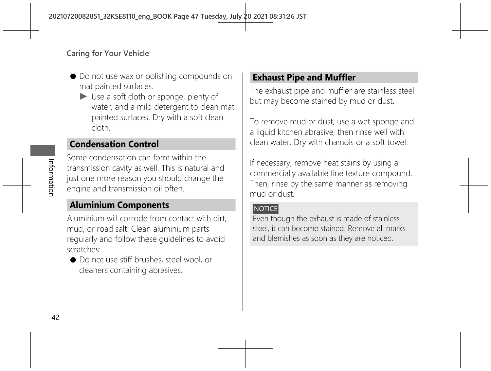#### **Caring for Your Vehicle**

- Do not use wax or polishing compounds on mat painted surfaces:
	- $\blacktriangleright$  Use a soft cloth or sponge, plenty of water, and a mild detergent to clean mat painted surfaces. Dry with a soft clean cloth.

## **Condensation Control**

Some condensation can form within the transmission cavity as well. This is natural and just one more reason you should change the engine and transmission oil often.

#### **Aluminium Components**

Aluminium will corrode from contact with dirt, mud, or road salt. Clean aluminium parts regularly and follow these guidelines to avoid scratches:

● Do not use stiff brushes, steel wool, or cleaners containing abrasives.

## **Exhaust Pipe and Muffler**

The exhaust pipe and muffler are stainless steel but may become stained by mud or dust.

To remove mud or dust, use a wet sponge and a liquid kitchen abrasive, then rinse well with clean water. Dry with chamois or a soft towel.

If necessary, remove heat stains by using a commercially available fine texture compound. Then, rinse by the same manner as removing mud or dust.

#### NOTICE

Even though the exhaust is made of stainless steel, it can become stained. Remove all marks and blemishes as soon as they are noticed.

Intormation Information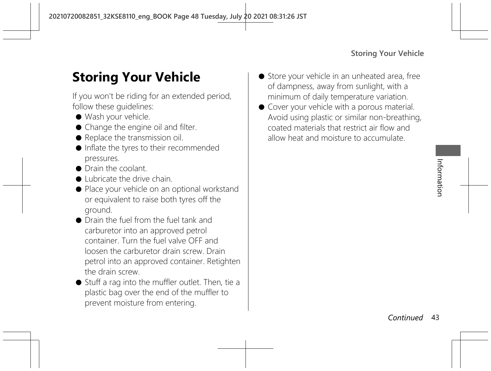## <span id="page-47-0"></span>**Storing Your Vehicle**

If you won't be riding for an extended period, follow these guidelines:

- Wash your vehicle.
- Change the engine oil and filter.
- Replace the transmission oil.
- Inflate the tyres to their recommended pressures.
- Drain the coolant
- Lubricate the drive chain.
- Place your vehicle on an optional workstand or equivalent to raise both tyres off the ground.
- Drain the fuel from the fuel tank and carburetor into an approved petrol container. Turn the fuel valve OFF and loosen the carburetor drain screw. Drain petrol into an approved container. Retighten the drain screw.
- Stuff a rag into the muffler outlet. Then, tie a plastic bag over the end of the muffler to prevent moisture from entering.

#### **Storing Your Vehicle**

- Store your vehicle in an unheated area, free of dampness, away from sunlight, with a minimum of daily temperature variation.
- Cover your vehicle with a porous material. Avoid using plastic or similar non-breathing, coated materials that restrict air flow and allow heat and moisture to accumulate.

*Continued* 43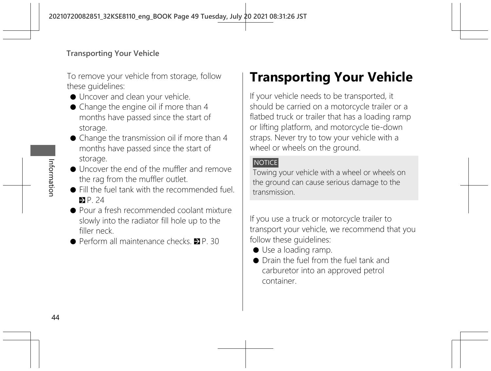#### <span id="page-48-0"></span>**Transporting Your Vehicle**

To remove your vehicle from storage, follow these quidelines:

- Uncover and clean your vehicle.
- Change the engine oil if more than 4 months have passed since the start of storage.
- Change the transmission oil if more than 4 months have passed since the start of storage.
- Uncover the end of the muffler and remove the rag from the muffler outlet.
- Fill the fuel tank with the recommended fuel.  $\mathbf{5}$  P 24
- Pour a fresh recommended coolant mixture slowly into the radiator fill hole up to the filler neck.
- Perform all maintenance checks. 2 [P. 30](#page-34-0)

## **Transporting Your Vehicle**

If your vehicle needs to be transported, it should be carried on a motorcycle trailer or a flatbed truck or trailer that has a loading ramp or lifting platform, and motorcycle tie-down straps. Never try to tow your vehicle with a wheel or wheels on the ground.

#### **NOTICE**

Towing your vehicle with a wheel or wheels on the ground can cause serious damage to the transmission.

If you use a truck or motorcycle trailer to transport your vehicle, we recommend that you follow these guidelines:

- Use a loading ramp.
- Drain the fuel from the fuel tank and carburetor into an approved petrol container.

Intormation Information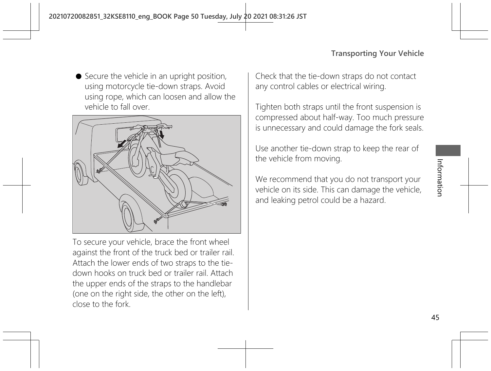**20210720082851\_32KSE8110\_eng\_BOOK Page 50 Tuesday, July 20 2021 08:31:26 JST**

#### **Transporting Your Vehicle**

● Secure the vehicle in an upright position, using motorcycle tie-down straps. Avoid using rope, which can loosen and allow the vehicle to fall over.



To secure your vehicle, brace the front wheel against the front of the truck bed or trailer rail. Attach the lower ends of two straps to the tiedown hooks on truck bed or trailer rail. Attach the upper ends of the straps to the handlebar (one on the right side, the other on the left), close to the fork.

Check that the tie-down straps do not contact any control cables or electrical wiring.

Tighten both straps until the front suspension is compressed about half-way. Too much pressure is unnecessary and could damage the fork seals.

Use another tie-down strap to keep the rear of the vehicle from moving.

We recommend that you do not transport your vehicle on its side. This can damage the vehicle, and leaking petrol could be a hazard.

## Information Information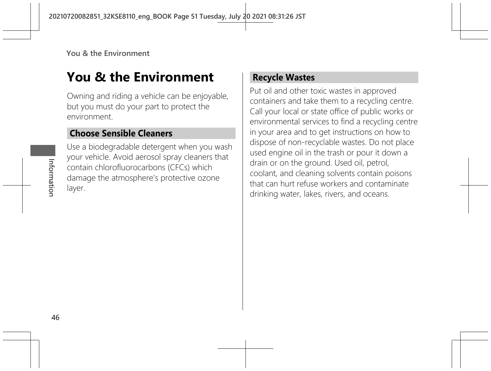<span id="page-50-0"></span>**You & the Environment**

## **You & the Environment**

Owning and riding a vehicle can be enjoyable, but you must do your part to protect the environment.

## **Choose Sensible Cleaners**

Use a biodegradable detergent when you wash your vehicle. Avoid aerosol spray cleaners that contain chlorofluorocarbons (CFCs) which damage the atmosphere's protective ozone layer.

### **Recycle Wastes**

Put oil and other toxic wastes in approved containers and take them to a recycling centre. Call your local or state office of public works or environmental services to find a recycling centre in your area and to get instructions on how to dispose of non-recyclable wastes. Do not place used engine oil in the trash or pour it down a drain or on the ground. Used oil, petrol, coolant, and cleaning solvents contain poisons that can hurt refuse workers and contaminate drinking water, lakes, rivers, and oceans.

Intormation Information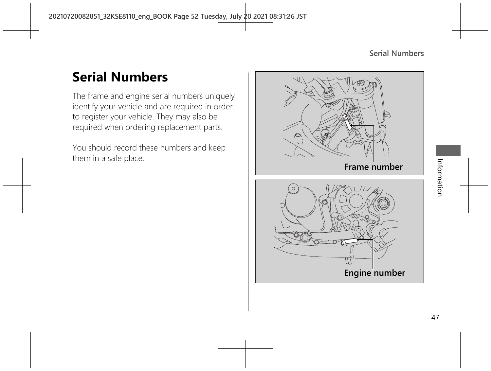**Serial Numbers**

## <span id="page-51-0"></span>**Serial Numbers**

The frame and engine serial numbers uniquely identify your vehicle and are required in order to register your vehicle. They may also be required when ordering replacement parts.

You should record these numbers and keep them in a safe place.



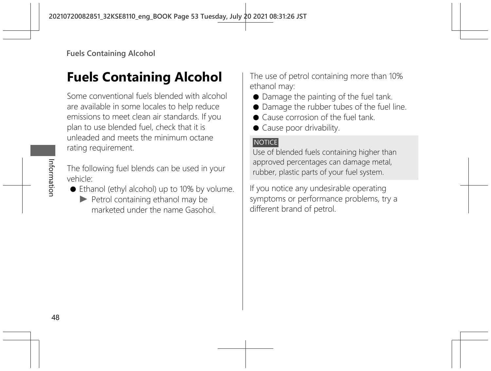<span id="page-52-0"></span>**Fuels Containing Alcohol**

## **Fuels Containing Alcohol**

Some conventional fuels blended with alcohol are available in some locales to help reduce emissions to meet clean air standards. If you plan to use blended fuel, check that it is unleaded and meets the minimum octane rating requirement.

Intormation Information

The following fuel blends can be used in your vehicle:

● Ethanol (ethyl alcohol) up to 10% by volume.

 $\blacktriangleright$  Petrol containing ethanol may be marketed under the name Gasohol.

The use of petrol containing more than 10% ethanol may:

- Damage the painting of the fuel tank.
- Damage the rubber tubes of the fuel line.
- Cause corrosion of the fuel tank
- Cause poor drivability.

#### **NOTICE**

Use of blended fuels containing higher than approved percentages can damage metal, rubber, plastic parts of your fuel system.

If you notice any undesirable operating symptoms or performance problems, try a different brand of petrol.

48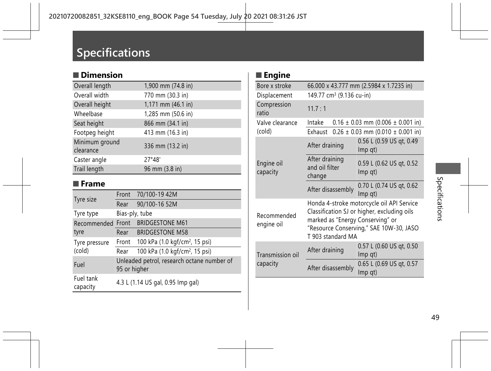## <span id="page-53-0"></span>**Specifications**

## **■ Dimension**

| Overall length              | 1,900 mm (74.8 in)   |
|-----------------------------|----------------------|
| Overall width               | 770 mm (30.3 in)     |
| Overall height              | $1,171$ mm (46.1 in) |
| Wheelbase                   | 1,285 mm (50.6 in)   |
| Seat height                 | 866 mm (34.1 in)     |
| Footpeg height              | 413 mm (16.3 in)     |
| Minimum ground<br>clearance | 336 mm (13.2 in)     |
| Caster angle                | 27°48'               |
| Trail length                | 96 mm (3.8 in)       |

### **■ Frame**

| Tyre size             | Front          | 70/100-19 42M                                    |
|-----------------------|----------------|--------------------------------------------------|
|                       | Rear           | 90/100-16 52M                                    |
| Tyre type             | Bias-ply, tube |                                                  |
| Recommended           | Front          | <b>BRIDGESTONE M61</b>                           |
| tyre                  | Rear           | <b>BRIDGESTONE M58</b>                           |
| Tyre pressure         |                | Front 100 kPa (1.0 kgf/cm <sup>2</sup> , 15 psi) |
| (cold)                | Rear           | 100 kPa (1.0 kgf/cm <sup>2</sup> , 15 psi)       |
| Fuel                  | 95 or higher   | Unleaded petrol, research octane number of       |
| Fuel tank<br>capacity |                | 4.3 L (1.14 US gal, 0.95 lmp gal)                |

### **■ Engine**

| Bore x stroke                |                                                       | 66.000 x 43.777 mm (2.5984 x 1.7235 in)                                                                                             |
|------------------------------|-------------------------------------------------------|-------------------------------------------------------------------------------------------------------------------------------------|
| Displacement                 | 149.77 cm <sup>3</sup> (9.136 cu-in)                  |                                                                                                                                     |
| Compression<br>ratio         | 11.7:1                                                |                                                                                                                                     |
| Valve clearance              | Intake                                                | $0.16 \pm 0.03$ mm (0.006 $\pm$ 0.001 in)                                                                                           |
| (cold)                       | Exhaust                                               | $0.26 \pm 0.03$ mm (0.010 $\pm$ 0.001 in)                                                                                           |
|                              | After draining                                        | 0.56 L (0.59 US qt, 0.49<br>Imp qt)                                                                                                 |
| Engine oil<br>capacity       | After draining<br>and oil filter<br>change            | 0.59 L (0.62 US qt, 0.52<br>Imp qt)                                                                                                 |
|                              | After disassembly                                     | 0.70 L (0.74 US qt, 0.62<br>Imp qt)                                                                                                 |
| Recommended<br>engine oil    | marked as "Energy Conserving" or<br>T 903 standard MA | Honda 4-stroke motorcycle oil API Service<br>Classification SJ or higher, excluding oils<br>"Resource Conserving," SAE 10W-30, JASO |
| Transmission oil<br>capacity | After draining                                        | 0.57 L (0.60 US qt, 0.50<br>Imp qt)                                                                                                 |
|                              | After disassembly                                     | 0.65 L (0.69 US qt, 0.57<br>Imp qt)                                                                                                 |
|                              |                                                       |                                                                                                                                     |

Specifications Specifications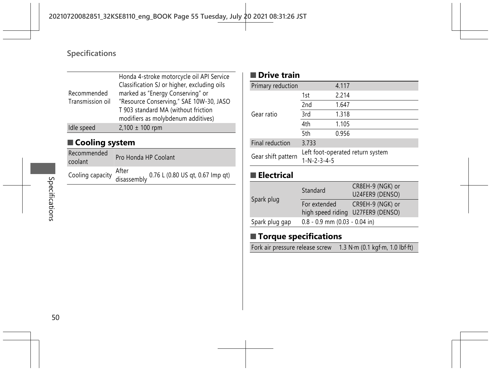#### **Specifications**

| Recommended<br>Transmission oil | Honda 4-stroke motorcycle oil API Service<br>Classification SJ or higher, excluding oils<br>marked as "Energy Conserving" or<br>"Resource Conserving," SAE 10W-30, JASO<br>T 903 standard MA (without friction<br>modifiers as molybdenum additives) |
|---------------------------------|------------------------------------------------------------------------------------------------------------------------------------------------------------------------------------------------------------------------------------------------------|
| Idle speed                      | $2,100 \pm 100$ rpm                                                                                                                                                                                                                                  |

## **■ Cooling system**

| Recommended<br>coolant | Pro Honda HP Coolant                                             |  |
|------------------------|------------------------------------------------------------------|--|
|                        | Cooling capacity<br>disassembly 0.76 L (0.80 US qt, 0.67 Imp qt) |  |

### **■ Drive train**

| Primary reduction  |                                                             | 4.117 |  |
|--------------------|-------------------------------------------------------------|-------|--|
| Gear ratio         | 1st                                                         | 2.214 |  |
|                    | 2 <sub>nd</sub>                                             | 1.647 |  |
|                    | 3rd                                                         | 1.318 |  |
|                    | 4th                                                         | 1.105 |  |
|                    | 5th                                                         | 0.956 |  |
| Final reduction    | 3.733                                                       |       |  |
| Gear shift pattern | Left foot-operated return system<br>$1 - N - 2 - 3 - 4 - 5$ |       |  |

## **■ Electrical**

| Spark plug     | Standard                        | CR8EH-9 (NGK) or<br>U24FER9 (DENSO) |
|----------------|---------------------------------|-------------------------------------|
|                | For extended                    | CR9EH-9 (NGK) or                    |
|                |                                 | high speed riding U27FER9 (DENSO)   |
| Spark plug gap | $0.8 - 0.9$ mm (0.03 - 0.04 in) |                                     |

## **■ Torque specifications**

Fork air pressure release screw 1.3 N·m (0.1 kgf·m, 1.0 lbf·ft)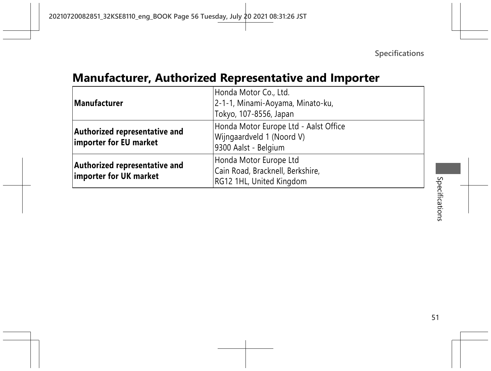**Specifications**

## **Manufacturer, Authorized Representative and Importer**

| Manufacturer                                            | Honda Motor Co., Ltd.<br>2-1-1, Minami-Aoyama, Minato-ku,<br>Tokyo, 107-8556, Japan        |
|---------------------------------------------------------|--------------------------------------------------------------------------------------------|
| Authorized representative and<br>importer for EU market | Honda Motor Europe Ltd - Aalst Office<br>Wijngaardveld 1 (Noord V)<br>9300 Aalst - Belgium |
| Authorized representative and<br>importer for UK market | Honda Motor Europe Ltd<br>Cain Road, Bracknell, Berkshire,<br>RG12 1HL, United Kingdom     |

Specifications Specifications